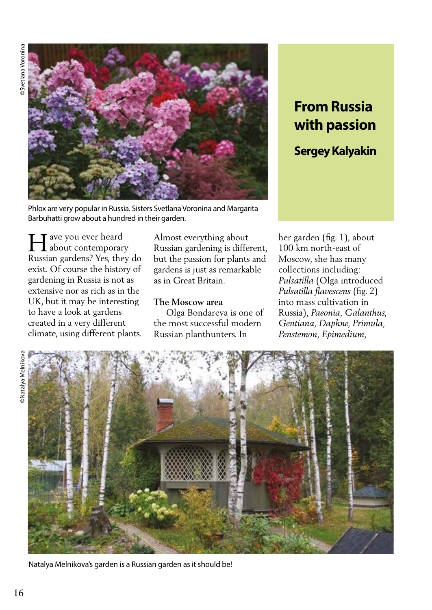

# **From Russia with passion**

## **Sergey Kalyakin**

Phlox are very popular in Russia. Sisters Svetlana Voronina and Margarita Barbuhatti grow about a hundred in their garden.

T ave you ever heard about contemporary Improper the you ever heard<br>Russian gardens? Yes, they do exist. Of course the history of gardening in Russia is not as extensive nor as rich as in the UK, but it may be interesting to have a look at gardens created in a very different climate, using different plants.

Almost everything about Russian gardening is different, but the passion for plants and gardens is just as remarkable as in Great Britain.

#### **The Moscow area**

 Olga Bondareva is one of the most successful modern Russian planthunters. In

her garden (fig. 1), about 100 km north-east of Moscow, she has many collections including: *Pulsatilla* (Olga introduced *Pulsatilla flavescens* (fig. 2) into mass cultivation in Russia), *Paeonia, Galanthus, Gentiana, Daphne, Primula, Penstemon, Epimedium,* 



Natalya Melnikova's garden is a Russian garden as it should be!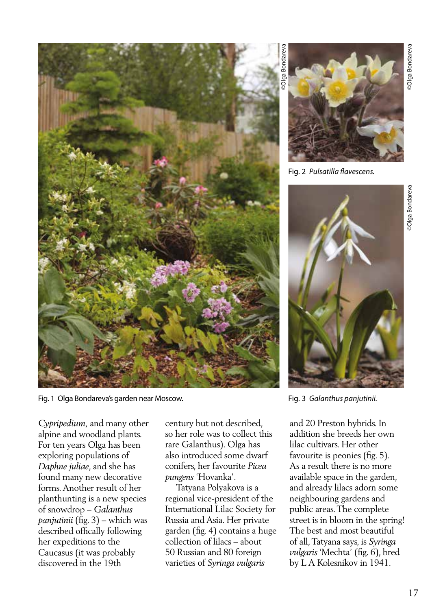

Fig. 1 Olga Bondareva's garden near Moscow.

*Cypripedium,* and many other alpine and woodland plants. For ten years Olga has been exploring populations of *Daphne juliae*, and she has found many new decorative forms. Another result of her planthunting is a new species of snowdrop – *Galanthus panjutinii* (fig. 3) – which was described offically following her expeditions to the Caucasus (it was probably discovered in the 19th

century but not described, so her role was to collect this rare Galanthus). Olga has also introduced some dwarf conifers, her favourite *Picea pungens* 'Hovanka'.

 Tatyana Polyakova is a regional vice-president of the International Lilac Society for Russia and Asia. Her private garden (fig. 4) contains a huge collection of lilacs – about 50 Russian and 80 foreign varieties of *Syringa vulgaris*

Fig. 2 *Pulsatilla flavescens.* 



Fig. 3 *Galanthus panjutinii.* 

and 20 Preston hybrids. In addition she breeds her own lilac cultivars. Her other favourite is peonies (fig. 5). As a result there is no more available space in the garden, and already lilacs adorn some neighbouring gardens and public areas. The complete street is in bloom in the spring! The best and most beautiful of all, Tatyana says, is *Syringa vulgaris* 'Mechta' (fig. 6), bred by L A Kolesnikov in 1941.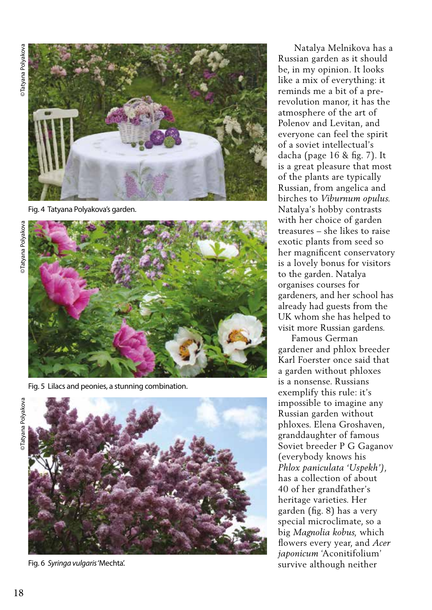©Tatyana Polyakova ©Tatyana Polyakova



Fig. 4 Tatyana Polyakova's garden.



Fig. 5 Lilacs and peonies, a stunning combination.



Fig. 6 *Syringa vulgaris* 'Mechta'.

 Natalya Melnikova has a Russian garden as it should be, in my opinion. It looks like a mix of everything: it reminds me a bit of a prerevolution manor, it has the atmosphere of the art of Polenov and Levitan, and everyone can feel the spirit of a soviet intellectual's dacha (page 16 & fig. 7). It is a great pleasure that most of the plants are typically Russian, from angelica and birches to *Viburnum opulus.*  Natalya's hobby contrasts with her choice of garden treasures – she likes to raise exotic plants from seed so her magnificent conservatory is a lovely bonus for visitors to the garden. Natalya organises courses for gardeners, and her school has already had guests from the UK whom she has helped to visit more Russian gardens.

 Famous German gardener and phlox breeder Karl Foerster once said that a garden without phloxes is a nonsense. Russians exemplify this rule: it's impossible to imagine any Russian garden without phloxes. Elena Groshaven, granddaughter of famous Soviet breeder P G Gaganov (everybody knows his *Phlox paniculata 'Uspekh')*, has a collection of about 40 of her grandfather's heritage varieties. Her garden (fig. 8) has a very special microclimate, so a big *Magnolia kobus,* which flowers every year, and *Acer japonicum* 'Aconitifolium' survive although neither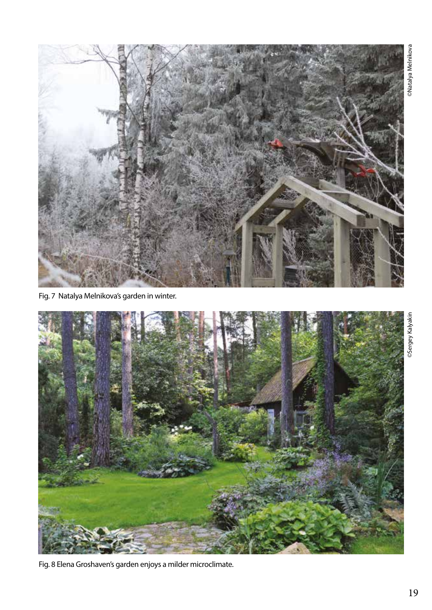

Fig. 7 Natalya Melnikova's garden in winter.



Fig. 8 Elena Groshaven's garden enjoys a milder microclimate.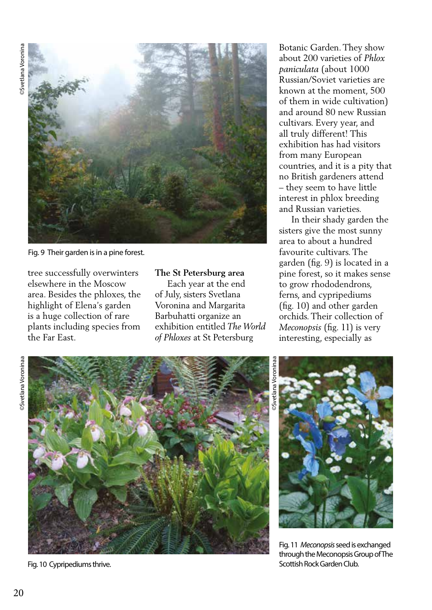

Fig. 9 Their garden is in a pine forest.

tree successfully overwinters elsewhere in the Moscow area. Besides the phloxes, the highlight of Elena's garden is a huge collection of rare plants including species from the Far East.

#### **The St Petersburg area**

 Each year at the end of July, sisters Svetlana Voronina and Margarita Barbuhatti organize an exhibition entitled *The World of Phloxes* at St Petersburg

Botanic Garden. They show about 200 varieties of *Phlox paniculata* (about 1000 Russian/Soviet varieties are known at the moment, 500 of them in wide cultivation) and around 80 new Russian cultivars. Every year, and all truly different! This exhibition has had visitors from many European countries, and it is a pity that no British gardeners attend – they seem to have little interest in phlox breeding and Russian varieties.

 In their shady garden the sisters give the most sunny area to about a hundred favourite cultivars. The garden (fig. 9) is located in a pine forest, so it makes sense to grow rhododendrons, ferns, and cypripediums (fig. 10) and other garden orchids. Their collection of *Meconopsis* (fig. 11) is very interesting, especially as

**Svetlana Voroninaa** ©Svetlana Voroninaa



©Svetlana Voroninaa



Fig. 11 *Meconopsis* seed is exchanged through the Meconopsis Group of The Fig. 10 Cypripediums thrive. Scottish Rock Garden Club.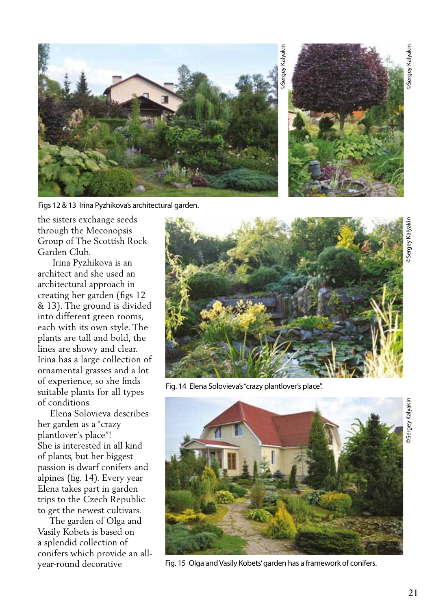

Figs 12 & 13 Irina Pyzhikova's architectural garden.



©Sergey Kalyakin >Sergey Kalyakir

the sisters exchange seeds through the Meconopsis Group of The Scottish Rock Garden Club.

 Irina Pyzhikova is an architect and she used an architectural approach in creating her garden (figs 12 & 13). The ground is divided into different green rooms, each with its own style. The plants are tall and bold, the lines are showy and clear. Irina has a large collection of ornamental grasses and a lot of experience, so she finds suitable plants for all types of conditions.

 Elena Solovieva describes her garden as a "crazy plantlover's place"! She is interested in all kind of plants, but her biggest passion is dwarf conifers and alpines (fig. 14). Every year Elena takes part in garden trips to the Czech Republic to get the newest cultivars.

 The garden of Olga and Vasily Kobets is based on a splendid collection of conifers which provide an allyear-round decorative



Fig. 14 Elena Solovieva's "crazy plantlover's place".